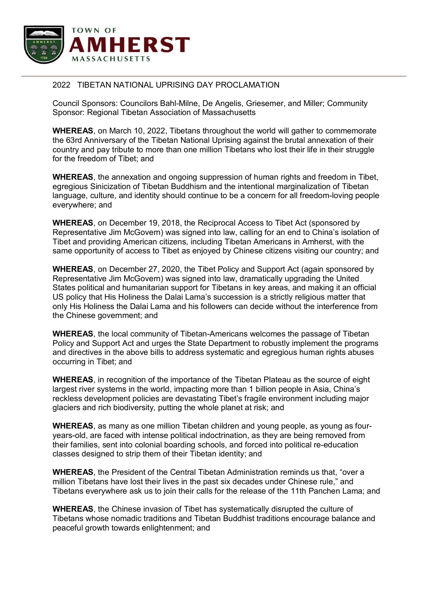

## 2022 TIBETAN NATIONAL UPRISING DAY PROCLAMATION

Council Sponsors: Councilors Bahl-Milne, De Angelis, Griesemer, and Miller; Community Sponsor: Regional Tibetan Association of Massachusetts

**WHEREAS**, on March 10, 2022, Tibetans throughout the world will gather to commemorate the 63rd Anniversary of the Tibetan National Uprising against the brutal annexation of their country and pay tribute to more than one million Tibetans who lost their life in their struggle for the freedom of Tibet; and

**WHEREAS**, the annexation and ongoing suppression of human rights and freedom in Tibet, egregious Sinicization of Tibetan Buddhism and the intentional marginalization of Tibetan language, culture, and identity should continue to be a concern for all freedom-loving people everywhere; and

**WHEREAS**, on December 19, 2018, the Reciprocal Access to Tibet Act (sponsored by Representative Jim McGovern) was signed into law, calling for an end to China's isolation of Tibet and providing American citizens, including Tibetan Americans in Amherst, with the same opportunity of access to Tibet as enjoyed by Chinese citizens visiting our country; and

**WHEREAS**, on December 27, 2020, the Tibet Policy and Support Act (again sponsored by Representative Jim McGovern) was signed into law, dramatically upgrading the United States political and humanitarian support for Tibetans in key areas, and making it an official US policy that His Holiness the Dalai Lama's succession is a strictly religious matter that only His Holiness the Dalai Lama and his followers can decide without the interference from the Chinese government; and

**WHEREAS**, the local community of Tibetan-Americans welcomes the passage of Tibetan Policy and Support Act and urges the State Department to robustly implement the programs and directives in the above bills to address systematic and egregious human rights abuses occurring in Tibet; and

**WHEREAS**, in recognition of the importance of the Tibetan Plateau as the source of eight largest river systems in the world, impacting more than 1 billion people in Asia, China's reckless development policies are devastating Tibet's fragile environment including major glaciers and rich biodiversity, putting the whole planet at risk; and

**WHEREAS**, as many as one million Tibetan children and young people, as young as fouryears-old, are faced with intense political indoctrination, as they are being removed from their families, sent into colonial boarding schools, and forced into political re-education classes designed to strip them of their Tibetan identity; and

**WHEREAS**, the President of the Central Tibetan Administration reminds us that, "over a million Tibetans have lost their lives in the past six decades under Chinese rule," and Tibetans everywhere ask us to join their calls for the release of the 11th Panchen Lama; and

**WHEREAS**, the Chinese invasion of Tibet has systematically disrupted the culture of Tibetans whose nomadic traditions and Tibetan Buddhist traditions encourage balance and peaceful growth towards enlightenment; and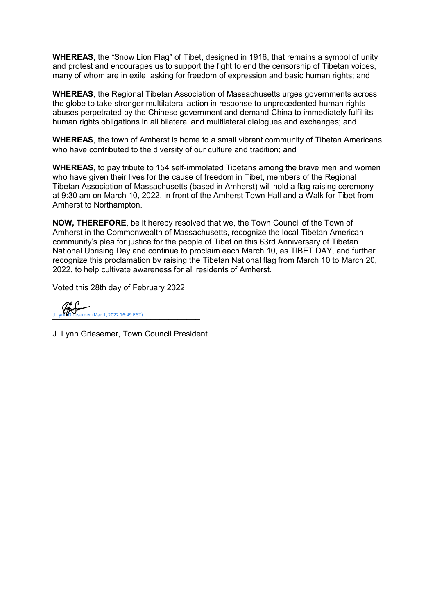**WHEREAS**, the "Snow Lion Flag" of Tibet, designed in 1916, that remains a symbol of unity and protest and encourages us to support the fight to end the censorship of Tibetan voices, many of whom are in exile, asking for freedom of expression and basic human rights; and

**WHEREAS**, the Regional Tibetan Association of Massachusetts urges governments across the globe to take stronger multilateral action in response to unprecedented human rights abuses perpetrated by the Chinese government and demand China to immediately fulfil its human rights obligations in all bilateral and multilateral dialogues and exchanges; and

**WHEREAS**, the town of Amherst is home to a small vibrant community of Tibetan Americans who have contributed to the diversity of our culture and tradition; and

**WHEREAS**, to pay tribute to 154 self-immolated Tibetans among the brave men and women who have given their lives for the cause of freedom in Tibet, members of the Regional Tibetan Association of Massachusetts (based in Amherst) will hold a flag raising ceremony at 9:30 am on March 10, 2022, in front of the Amherst Town Hall and a Walk for Tibet from Amherst to Northampton.

**NOW, THEREFORE**, be it hereby resolved that we, the Town Council of the Town of Amherst in the Commonwealth of Massachusetts, recognize the local Tibetan American community's plea for justice for the people of Tibet on this 63rd Anniversary of Tibetan National Uprising Day and continue to proclaim each March 10, as TIBET DAY, and further recognize this proclamation by raising the Tibetan National flag from March 10 to March 20, 2022, to help cultivate awareness for all residents of Amherst.

Voted this 28th day of February 2022.

J Lyn**r V**Griesemer (Mar 1, 2022 16:49 EST)

J. Lynn Griesemer, Town Council President